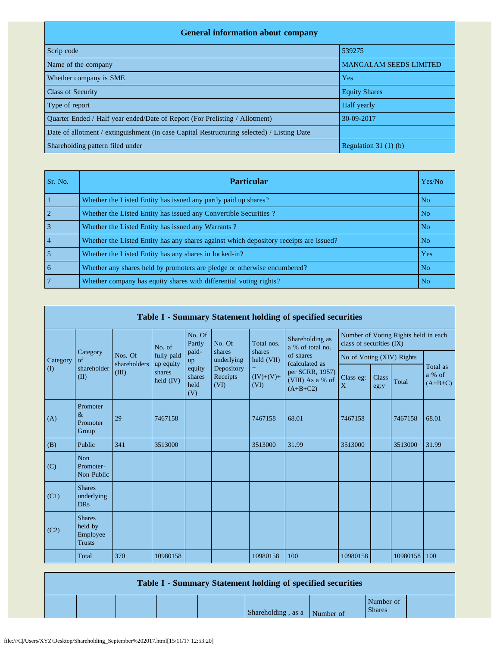| <b>General information about company</b>                                                   |                               |
|--------------------------------------------------------------------------------------------|-------------------------------|
| Scrip code                                                                                 | 539275                        |
| Name of the company                                                                        | <b>MANGALAM SEEDS LIMITED</b> |
| Whether company is SME                                                                     | <b>Yes</b>                    |
| <b>Class of Security</b>                                                                   | <b>Equity Shares</b>          |
| Type of report                                                                             | Half yearly                   |
| Ouarter Ended / Half year ended/Date of Report (For Prelisting / Allotment)                | 30-09-2017                    |
| Date of allotment / extinguishment (in case Capital Restructuring selected) / Listing Date |                               |
| Shareholding pattern filed under                                                           | Regulation $31(1)(b)$         |

| Sr. No.        | <b>Particular</b>                                                                      | Yes/No         |
|----------------|----------------------------------------------------------------------------------------|----------------|
|                | Whether the Listed Entity has issued any partly paid up shares?                        | N <sub>o</sub> |
|                | Whether the Listed Entity has issued any Convertible Securities?                       | N <sub>o</sub> |
|                | Whether the Listed Entity has issued any Warrants?                                     | N <sub>o</sub> |
| $\overline{4}$ | Whether the Listed Entity has any shares against which depository receipts are issued? | N <sub>o</sub> |
|                | Whether the Listed Entity has any shares in locked-in?                                 | Yes            |
| 6              | Whether any shares held by promoters are pledge or otherwise encumbered?               | N <sub>o</sub> |
|                | Whether company has equity shares with differential voting rights?                     | N <sub>o</sub> |

|             | Table I - Summary Statement holding of specified securities |                         |                                    |                                 |                                                        |                                                  |                                                                                  |                                                                  |               |          |                                 |  |  |  |
|-------------|-------------------------------------------------------------|-------------------------|------------------------------------|---------------------------------|--------------------------------------------------------|--------------------------------------------------|----------------------------------------------------------------------------------|------------------------------------------------------------------|---------------|----------|---------------------------------|--|--|--|
|             |                                                             |                         | No. of                             | No. Of<br>Partly                | No. Of                                                 | Total nos.                                       | Shareholding as<br>a % of total no.                                              | Number of Voting Rights held in each<br>class of securities (IX) |               |          |                                 |  |  |  |
| Category    | Category<br>of                                              | Nos. Of<br>shareholders | fully paid                         | paid-<br>up                     | shares<br>underlying<br>Depository<br>Receipts<br>(VI) | shares<br>held (VII)<br>=<br>$(IV)+(V)+$<br>(VI) | of shares<br>(calculated as<br>per SCRR, 1957)<br>(VIII) As a % of<br>$(A+B+C2)$ | No of Voting (XIV) Rights                                        |               |          |                                 |  |  |  |
| $($ $($ $)$ | shareholder<br>(II)                                         | (III)                   | up equity<br>shares<br>held $(IV)$ | equity<br>shares<br>held<br>(V) |                                                        |                                                  |                                                                                  | Class eg:<br>X                                                   | Class<br>eg:y | Total    | Total as<br>a % of<br>$(A+B+C)$ |  |  |  |
| (A)         | Promoter<br>$\&$<br>Promoter<br>Group                       | 29                      | 7467158                            |                                 |                                                        | 7467158                                          | 68.01                                                                            | 7467158                                                          |               | 7467158  | 68.01                           |  |  |  |
| (B)         | Public                                                      | 341                     | 3513000                            |                                 |                                                        | 3513000                                          | 31.99                                                                            | 3513000                                                          |               | 3513000  | 31.99                           |  |  |  |
| (C)         | <b>Non</b><br>Promoter-<br>Non Public                       |                         |                                    |                                 |                                                        |                                                  |                                                                                  |                                                                  |               |          |                                 |  |  |  |
| (C1)        | <b>Shares</b><br>underlying<br><b>DRs</b>                   |                         |                                    |                                 |                                                        |                                                  |                                                                                  |                                                                  |               |          |                                 |  |  |  |
| (C2)        | <b>Shares</b><br>held by<br>Employee<br><b>Trusts</b>       |                         |                                    |                                 |                                                        |                                                  |                                                                                  |                                                                  |               |          |                                 |  |  |  |
|             | Total                                                       | 370                     | 10980158                           |                                 |                                                        | 10980158                                         | 100                                                                              | 10980158                                                         |               | 10980158 | 100                             |  |  |  |

## **Table I - Summary Statement holding of specified securities**

|                    |           | Number of     |
|--------------------|-----------|---------------|
| Shareholding, as a | Number of | <b>Shares</b> |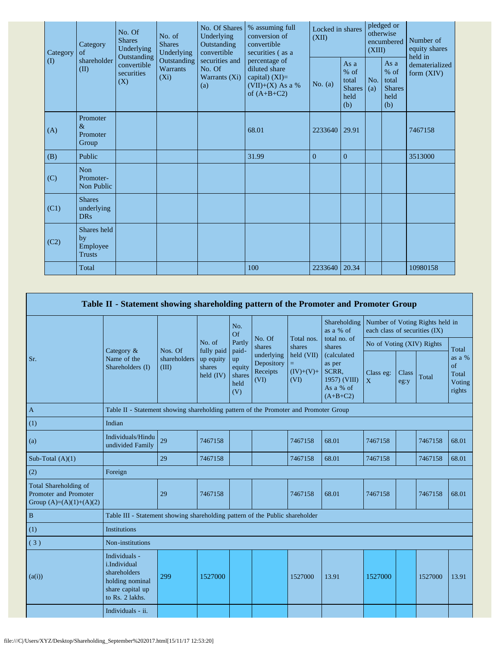|  | Category<br>$\rm (I)$ | Category<br>of<br>shareholder<br>(II)          | No. Of<br><b>Shares</b><br>Underlying<br>Outstanding | No. of<br><b>Shares</b><br>Underlying<br>Outstanding<br><b>Warrants</b><br>$(X_i)$ | No. Of Shares<br>Underlying<br>Outstanding<br>convertible<br>securities and<br>No. Of<br>Warrants (Xi)<br>(a) | % assuming full<br>conversion of<br>convertible<br>securities (as a                       | Locked in shares<br>(XII) |                                                         | pledged or<br>otherwise<br>encumbered<br>(XIII) |                                                       | Number of<br>equity shares<br>held in |
|--|-----------------------|------------------------------------------------|------------------------------------------------------|------------------------------------------------------------------------------------|---------------------------------------------------------------------------------------------------------------|-------------------------------------------------------------------------------------------|---------------------------|---------------------------------------------------------|-------------------------------------------------|-------------------------------------------------------|---------------------------------------|
|  |                       |                                                | convertible<br>securities<br>(X)                     |                                                                                    |                                                                                                               | percentage of<br>diluted share<br>capital) $(XI)=$<br>$(VII)+(X)$ As a %<br>of $(A+B+C2)$ | No. $(a)$                 | As a<br>$%$ of<br>total<br><b>Shares</b><br>held<br>(b) | No.<br>(a)                                      | As a<br>% of<br>total<br><b>Shares</b><br>held<br>(b) | dematerialized<br>form $(XIV)$        |
|  | (A)                   | Promoter<br>$\&$<br>Promoter<br>Group          |                                                      |                                                                                    |                                                                                                               | 68.01                                                                                     | 2233640                   | 29.91                                                   |                                                 |                                                       | 7467158                               |
|  | (B)                   | Public                                         |                                                      |                                                                                    |                                                                                                               | 31.99                                                                                     | $\overline{0}$            | $\overline{0}$                                          |                                                 |                                                       | 3513000                               |
|  | (C)                   | <b>Non</b><br>Promoter-<br>Non Public          |                                                      |                                                                                    |                                                                                                               |                                                                                           |                           |                                                         |                                                 |                                                       |                                       |
|  | (C1)                  | <b>Shares</b><br>underlying<br><b>DRs</b>      |                                                      |                                                                                    |                                                                                                               |                                                                                           |                           |                                                         |                                                 |                                                       |                                       |
|  | (C2)                  | Shares held<br>by<br>Employee<br><b>Trusts</b> |                                                      |                                                                                    |                                                                                                               |                                                                                           |                           |                                                         |                                                 |                                                       |                                       |
|  |                       | Total                                          |                                                      |                                                                                    |                                                                                                               | 100                                                                                       | 2233640                   | 20.34                                                   |                                                 |                                                       | 10980158                              |

|                                                                             | Table II - Statement showing shareholding pattern of the Promoter and Promoter Group                    |                       |                                    |                                       |                                              |                                   |                                                                                   |                               |                      |                                 |                                           |
|-----------------------------------------------------------------------------|---------------------------------------------------------------------------------------------------------|-----------------------|------------------------------------|---------------------------------------|----------------------------------------------|-----------------------------------|-----------------------------------------------------------------------------------|-------------------------------|----------------------|---------------------------------|-------------------------------------------|
|                                                                             |                                                                                                         |                       |                                    | No.<br>Of                             |                                              |                                   | Shareholding<br>as a % of                                                         | each class of securities (IX) |                      | Number of Voting Rights held in |                                           |
|                                                                             |                                                                                                         | Nos. Of               | No. of<br>fully paid               | Partly<br>paid-                       | No. Of<br>shares                             | Total nos.<br>shares              | total no. of<br>shares                                                            | No of Voting (XIV) Rights     |                      |                                 | Total                                     |
| Sr.                                                                         | Category &<br>Name of the<br>Shareholders (I)                                                           | shareholders<br>(III) | up equity<br>shares<br>held $(IV)$ | up<br>equity<br>shares<br>held<br>(V) | underlying<br>Depository<br>Receipts<br>(VI) | held (VII)<br>$(IV)+(V)+$<br>(VI) | <i>(calculated)</i><br>as per<br>SCRR.<br>1957) (VIII)<br>As a % of<br>$(A+B+C2)$ | Class eg:<br>X                | <b>Class</b><br>eg:y | Total                           | as a %<br>of<br>Total<br>Voting<br>rights |
| $\mathbf{A}$                                                                | Table II - Statement showing shareholding pattern of the Promoter and Promoter Group                    |                       |                                    |                                       |                                              |                                   |                                                                                   |                               |                      |                                 |                                           |
| (1)                                                                         | Indian                                                                                                  |                       |                                    |                                       |                                              |                                   |                                                                                   |                               |                      |                                 |                                           |
| (a)                                                                         | Individuals/Hindu<br>undivided Family                                                                   | 29                    | 7467158                            |                                       |                                              | 7467158                           | 68.01                                                                             | 7467158                       |                      | 7467158                         | 68.01                                     |
| Sub-Total $(A)(1)$                                                          |                                                                                                         | 29                    | 7467158                            |                                       |                                              | 7467158                           | 68.01                                                                             | 7467158                       |                      | 7467158                         | 68.01                                     |
| (2)                                                                         | Foreign                                                                                                 |                       |                                    |                                       |                                              |                                   |                                                                                   |                               |                      |                                 |                                           |
| Total Shareholding of<br>Promoter and Promoter<br>Group $(A)=(A)(1)+(A)(2)$ |                                                                                                         | 29                    | 7467158                            |                                       |                                              | 7467158                           | 68.01                                                                             | 7467158                       |                      | 7467158                         | 68.01                                     |
| $\, {\bf B}$                                                                | Table III - Statement showing shareholding pattern of the Public shareholder                            |                       |                                    |                                       |                                              |                                   |                                                                                   |                               |                      |                                 |                                           |
| (1)                                                                         | <b>Institutions</b>                                                                                     |                       |                                    |                                       |                                              |                                   |                                                                                   |                               |                      |                                 |                                           |
| (3)                                                                         | Non-institutions                                                                                        |                       |                                    |                                       |                                              |                                   |                                                                                   |                               |                      |                                 |                                           |
| (a(i))                                                                      | Individuals -<br>i.Individual<br>shareholders<br>holding nominal<br>share capital up<br>to Rs. 2 lakhs. | 299                   | 1527000                            |                                       |                                              | 1527000                           | 13.91                                                                             | 1527000                       |                      | 1527000                         | 13.91                                     |
|                                                                             | Individuals - ii.                                                                                       |                       |                                    |                                       |                                              |                                   |                                                                                   |                               |                      |                                 |                                           |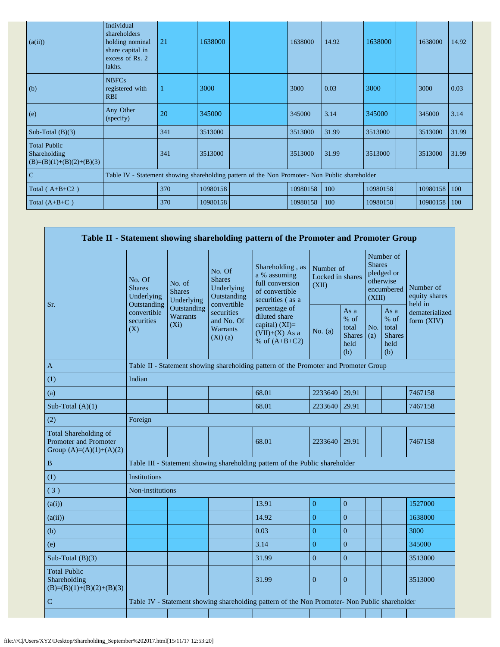| (a(ii))                                                           | Individual<br>shareholders<br>holding nominal<br>share capital in<br>excess of Rs. 2<br>lakhs. | 21  | 1638000  |  | 1638000  | 14.92 | 1638000  | 1638000  | 14.92 |
|-------------------------------------------------------------------|------------------------------------------------------------------------------------------------|-----|----------|--|----------|-------|----------|----------|-------|
| (b)                                                               | <b>NBFCs</b><br>registered with<br><b>RBI</b>                                                  |     | 3000     |  | 3000     | 0.03  | 3000     | 3000     | 0.03  |
| (e)                                                               | Any Other<br>(specify)                                                                         | 20  | 345000   |  | 345000   | 3.14  | 345000   | 345000   | 3.14  |
| Sub-Total $(B)(3)$                                                |                                                                                                | 341 | 3513000  |  | 3513000  | 31.99 | 3513000  | 3513000  | 31.99 |
| <b>Total Public</b><br>Shareholding<br>$(B)=(B)(1)+(B)(2)+(B)(3)$ |                                                                                                | 341 | 3513000  |  | 3513000  | 31.99 | 3513000  | 3513000  | 31.99 |
| $\mathcal{C}$                                                     | Table IV - Statement showing shareholding pattern of the Non Promoter- Non Public shareholder  |     |          |  |          |       |          |          |       |
| Total ( $A+B+C2$ )                                                |                                                                                                | 370 | 10980158 |  | 10980158 | 100   | 10980158 | 10980158 | 100   |
| Total $(A+B+C)$                                                   |                                                                                                | 370 | 10980158 |  | 10980158 | 100   | 10980158 | 10980158 | 100   |

|                                                                             |                                                      |                                       |                                                                     | Table II - Statement showing shareholding pattern of the Promoter and Promoter Group          |                                        |                                                       |                                                                               |                                                       |                                       |
|-----------------------------------------------------------------------------|------------------------------------------------------|---------------------------------------|---------------------------------------------------------------------|-----------------------------------------------------------------------------------------------|----------------------------------------|-------------------------------------------------------|-------------------------------------------------------------------------------|-------------------------------------------------------|---------------------------------------|
| Sr.                                                                         | No. Of<br><b>Shares</b><br>Underlying<br>Outstanding | No. of<br><b>Shares</b><br>Underlying | No. Of<br><b>Shares</b><br>Underlying<br>Outstanding<br>convertible | Shareholding, as<br>a % assuming<br>full conversion<br>of convertible<br>securities (as a     | Number of<br>Locked in shares<br>(XII) |                                                       | Number of<br><b>Shares</b><br>pledged or<br>otherwise<br>encumbered<br>(XIII) |                                                       | Number of<br>equity shares<br>held in |
|                                                                             | convertible<br>securities<br>(X)                     | Outstanding<br>Warrants<br>$(X_i)$    | securities<br>and No. Of<br><b>Warrants</b><br>$(Xi)$ (a)           | percentage of<br>diluted share<br>capital) $(XI)$ =<br>$(VII)+(X)$ As a<br>% of $(A+B+C2)$    | No. $(a)$                              | As a<br>% of<br>total<br><b>Shares</b><br>held<br>(b) | No.<br>(a)                                                                    | As a<br>% of<br>total<br><b>Shares</b><br>held<br>(b) | dematerialized<br>form (XIV)          |
| $\mathbf{A}$                                                                |                                                      |                                       |                                                                     | Table II - Statement showing shareholding pattern of the Promoter and Promoter Group          |                                        |                                                       |                                                                               |                                                       |                                       |
| (1)                                                                         | Indian                                               |                                       |                                                                     |                                                                                               |                                        |                                                       |                                                                               |                                                       |                                       |
| (a)                                                                         |                                                      |                                       |                                                                     | 68.01                                                                                         | 2233640 29.91                          |                                                       |                                                                               |                                                       | 7467158                               |
| Sub-Total $(A)(1)$                                                          |                                                      |                                       |                                                                     | 68.01                                                                                         | 2233640                                | 29.91                                                 |                                                                               |                                                       | 7467158                               |
| (2)                                                                         | Foreign                                              |                                       |                                                                     |                                                                                               |                                        |                                                       |                                                                               |                                                       |                                       |
| Total Shareholding of<br>Promoter and Promoter<br>Group $(A)=(A)(1)+(A)(2)$ |                                                      |                                       |                                                                     | 68.01                                                                                         | 2233640                                | 29.91                                                 |                                                                               |                                                       | 7467158                               |
| B                                                                           |                                                      |                                       |                                                                     | Table III - Statement showing shareholding pattern of the Public shareholder                  |                                        |                                                       |                                                                               |                                                       |                                       |
| (1)                                                                         | <b>Institutions</b>                                  |                                       |                                                                     |                                                                                               |                                        |                                                       |                                                                               |                                                       |                                       |
| (3)                                                                         | Non-institutions                                     |                                       |                                                                     |                                                                                               |                                        |                                                       |                                                                               |                                                       |                                       |
| (a(i))                                                                      |                                                      |                                       |                                                                     | 13.91                                                                                         | $\overline{0}$                         | $\mathbf{0}$                                          |                                                                               |                                                       | 1527000                               |
| (a(ii))                                                                     |                                                      |                                       |                                                                     | 14.92                                                                                         | $\overline{0}$                         | $\overline{0}$                                        |                                                                               |                                                       | 1638000                               |
| (b)                                                                         |                                                      |                                       |                                                                     | 0.03                                                                                          | $\overline{0}$                         | $\overline{0}$                                        |                                                                               |                                                       | 3000                                  |
| (e)                                                                         |                                                      |                                       |                                                                     | 3.14                                                                                          | $\overline{0}$                         | $\overline{0}$                                        |                                                                               |                                                       | 345000                                |
| Sub-Total $(B)(3)$                                                          |                                                      |                                       |                                                                     | 31.99                                                                                         | $\overline{0}$                         | $\overline{0}$                                        |                                                                               |                                                       | 3513000                               |
| <b>Total Public</b><br>Shareholding<br>$(B)=(B)(1)+(B)(2)+(B)(3)$           |                                                      |                                       |                                                                     | 31.99                                                                                         | $\mathbf{0}$                           | $\mathbf{0}$                                          |                                                                               |                                                       | 3513000                               |
| $\mathbf C$                                                                 |                                                      |                                       |                                                                     | Table IV - Statement showing shareholding pattern of the Non Promoter- Non Public shareholder |                                        |                                                       |                                                                               |                                                       |                                       |
|                                                                             |                                                      |                                       |                                                                     |                                                                                               |                                        |                                                       |                                                                               |                                                       |                                       |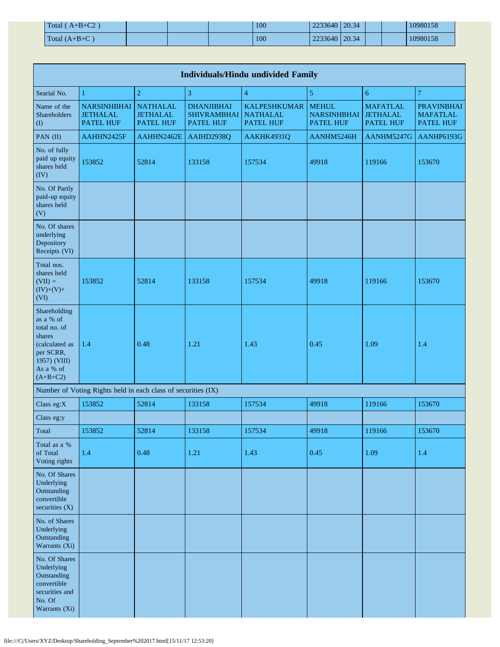| $Total (A+B+C2)$       |  | 100 | 2233640   20.34 |  | 10980158 |
|------------------------|--|-----|-----------------|--|----------|
| $\Gamma$ Total (A+B+C) |  | 100 | 2233640   20.34 |  | 10980158 |

| <b>Individuals/Hindu undivided Family</b>                                                                                     |                                                               |                                                        |                                                             |                                                            |                                                        |                                                        |                                                   |  |  |  |  |  |  |
|-------------------------------------------------------------------------------------------------------------------------------|---------------------------------------------------------------|--------------------------------------------------------|-------------------------------------------------------------|------------------------------------------------------------|--------------------------------------------------------|--------------------------------------------------------|---------------------------------------------------|--|--|--|--|--|--|
| Searial No.                                                                                                                   | 1                                                             | $\boldsymbol{2}$                                       | 3                                                           | $\overline{4}$                                             | 5                                                      | 6                                                      | $\overline{7}$                                    |  |  |  |  |  |  |
| Name of the<br>Shareholders<br>$\mathbf{I}$                                                                                   | <b>NARSINHBHAI</b><br><b>JETHALAL</b><br><b>PATEL HUF</b>     | <b>NATHALAL</b><br><b>JETHALAL</b><br><b>PATEL HUF</b> | <b>DHANJIBHAI</b><br><b>SHIVRAMBHAI</b><br><b>PATEL HUF</b> | <b>KALPESHKUMAR</b><br><b>NATHALAL</b><br><b>PATEL HUF</b> | <b>MEHUL</b><br><b>NARSINHBHAI</b><br><b>PATEL HUF</b> | <b>MAFATLAL</b><br><b>JETHALAL</b><br><b>PATEL HUF</b> | <b>PRAVINBHAI</b><br><b>MAFATLAL</b><br>PATEL HUF |  |  |  |  |  |  |
| PAN (II)                                                                                                                      | AAHHN2425F                                                    | AAHHN2462E                                             | AAIHD2938Q                                                  | AAKHK4931Q                                                 | AANHM5246H                                             | AANHM5247G                                             | AANHP6193G                                        |  |  |  |  |  |  |
| No. of fully<br>paid up equity<br>shares held<br>(IV)                                                                         | 153852                                                        | 52814                                                  | 133158                                                      | 157534                                                     | 49918                                                  | 119166                                                 | 153670                                            |  |  |  |  |  |  |
| No. Of Partly<br>paid-up equity<br>shares held<br>(V)                                                                         |                                                               |                                                        |                                                             |                                                            |                                                        |                                                        |                                                   |  |  |  |  |  |  |
| No. Of shares<br>underlying<br>Depository<br>Receipts (VI)                                                                    |                                                               |                                                        |                                                             |                                                            |                                                        |                                                        |                                                   |  |  |  |  |  |  |
| Total nos.<br>shares held<br>$(VII) =$<br>$(IV)+(V)+$<br>(VI)                                                                 | 153852                                                        | 52814                                                  | 133158                                                      | 157534                                                     | 49918                                                  | 119166                                                 | 153670                                            |  |  |  |  |  |  |
| Shareholding<br>as a % of<br>total no. of<br>shares<br>(calculated as<br>per SCRR,<br>1957) (VIII)<br>As a % of<br>$(A+B+C2)$ | 1.4                                                           | 0.48                                                   | 1.21                                                        | 1.43                                                       | 0.45                                                   | 1.09                                                   | 1.4                                               |  |  |  |  |  |  |
|                                                                                                                               | Number of Voting Rights held in each class of securities (IX) |                                                        |                                                             |                                                            |                                                        |                                                        |                                                   |  |  |  |  |  |  |
| Class eg:X                                                                                                                    | 153852                                                        | 52814                                                  | 133158                                                      | 157534                                                     | 49918                                                  | 119166                                                 | 153670                                            |  |  |  |  |  |  |
| Class eg:y                                                                                                                    |                                                               |                                                        |                                                             |                                                            |                                                        |                                                        |                                                   |  |  |  |  |  |  |
| Total                                                                                                                         | 153852                                                        | 52814                                                  | 133158                                                      | 157534                                                     | 49918                                                  | 119166                                                 | 153670                                            |  |  |  |  |  |  |
| Total as a %<br>of Total<br>Voting rights                                                                                     | 1.4                                                           | 0.48                                                   | 1.21                                                        | 1.43                                                       | 0.45                                                   | 1.09                                                   | 1.4                                               |  |  |  |  |  |  |
| No. Of Shares<br>Underlying<br>Outstanding<br>convertible<br>securities $(X)$                                                 |                                                               |                                                        |                                                             |                                                            |                                                        |                                                        |                                                   |  |  |  |  |  |  |
| No. of Shares<br>Underlying<br>Outstanding<br>Warrants (Xi)                                                                   |                                                               |                                                        |                                                             |                                                            |                                                        |                                                        |                                                   |  |  |  |  |  |  |
| No. Of Shares<br>Underlying<br>Outstanding<br>convertible<br>securities and<br>No. Of<br>Warrants (Xi)                        |                                                               |                                                        |                                                             |                                                            |                                                        |                                                        |                                                   |  |  |  |  |  |  |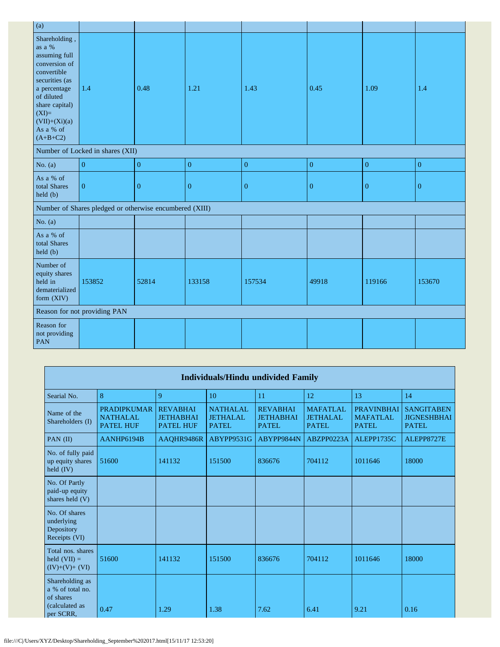| (a)                                                                                                                                                                                                 |                                                         |                  |                  |                  |                  |                  |                  |
|-----------------------------------------------------------------------------------------------------------------------------------------------------------------------------------------------------|---------------------------------------------------------|------------------|------------------|------------------|------------------|------------------|------------------|
| Shareholding,<br>as a %<br>assuming full<br>conversion of<br>convertible<br>securities (as<br>a percentage<br>of diluted<br>share capital)<br>$(XI)=$<br>$(VII)+(Xi)(a)$<br>As a % of<br>$(A+B+C2)$ | 1.4                                                     | 0.48             | 1.21             | 1.43             | 0.45             | 1.09             | 1.4              |
|                                                                                                                                                                                                     | Number of Locked in shares (XII)                        |                  |                  |                  |                  |                  |                  |
| No. $(a)$                                                                                                                                                                                           | $\boldsymbol{0}$                                        | $\boldsymbol{0}$ | $\boldsymbol{0}$ | $\mathbf{0}$     | $\boldsymbol{0}$ | $\boldsymbol{0}$ | $\boldsymbol{0}$ |
| As a % of<br>total Shares<br>held (b)                                                                                                                                                               | $\boldsymbol{0}$                                        | $\boldsymbol{0}$ | $\boldsymbol{0}$ | $\boldsymbol{0}$ | $\boldsymbol{0}$ | $\boldsymbol{0}$ | $\mathbf{0}$     |
|                                                                                                                                                                                                     | Number of Shares pledged or otherwise encumbered (XIII) |                  |                  |                  |                  |                  |                  |
| No. $(a)$                                                                                                                                                                                           |                                                         |                  |                  |                  |                  |                  |                  |
| As a % of<br>total Shares<br>held (b)                                                                                                                                                               |                                                         |                  |                  |                  |                  |                  |                  |
| Number of<br>equity shares<br>held in<br>dematerialized<br>form (XIV)                                                                                                                               | 153852                                                  | 52814            | 133158           | 157534           | 49918            | 119166           | 153670           |
|                                                                                                                                                                                                     | Reason for not providing PAN                            |                  |                  |                  |                  |                  |                  |
| Reason for<br>not providing<br>PAN                                                                                                                                                                  |                                                         |                  |                  |                  |                  |                  |                  |

|                                                                    | <b>Individuals/Hindu undivided Family</b>                 |                                                         |                                                    |                                                     |                                                    |                                                      |                                                         |  |  |  |  |  |  |
|--------------------------------------------------------------------|-----------------------------------------------------------|---------------------------------------------------------|----------------------------------------------------|-----------------------------------------------------|----------------------------------------------------|------------------------------------------------------|---------------------------------------------------------|--|--|--|--|--|--|
| Searial No.                                                        | 8                                                         | 9                                                       | 10                                                 | 11                                                  | 12                                                 | 13                                                   | 14                                                      |  |  |  |  |  |  |
| Name of the<br>Shareholders (I)                                    | <b>PRADIPKUMAR</b><br><b>NATHALAL</b><br><b>PATEL HUF</b> | <b>REVABHAI</b><br><b>JETHABHAI</b><br><b>PATEL HUF</b> | <b>NATHALAL</b><br><b>JETHALAL</b><br><b>PATEL</b> | <b>REVABHAI</b><br><b>JETHABHAI</b><br><b>PATEL</b> | <b>MAFATLAL</b><br><b>JETHALAL</b><br><b>PATEL</b> | <b>PRAVINBHAI</b><br><b>MAFATLAL</b><br><b>PATEL</b> | <b>SANGITABEN</b><br><b>JIGNESHBHAI</b><br><b>PATEL</b> |  |  |  |  |  |  |
| PAN $(II)$                                                         | AANHP6194B                                                | AAQHR9486R                                              | ABYPP9531G                                         | ABYPP9844N                                          | ABZPP0223A                                         | ALEPP1735C                                           | ALEPP8727E                                              |  |  |  |  |  |  |
| No. of fully paid<br>up equity shares<br>held $(IV)$               | 51600                                                     | 141132                                                  | 151500                                             | 836676                                              | 704112                                             | 1011646                                              | 18000                                                   |  |  |  |  |  |  |
| No. Of Partly<br>paid-up equity<br>shares held (V)                 |                                                           |                                                         |                                                    |                                                     |                                                    |                                                      |                                                         |  |  |  |  |  |  |
| No. Of shares<br>underlying<br>Depository<br>Receipts (VI)         |                                                           |                                                         |                                                    |                                                     |                                                    |                                                      |                                                         |  |  |  |  |  |  |
| Total nos. shares<br>held $(VII) =$<br>$(IV)+(V)+(VI)$             | 51600                                                     | 141132                                                  | 151500                                             | 836676                                              | 704112                                             | 1011646                                              | 18000                                                   |  |  |  |  |  |  |
| Shareholding as<br>a % of total no.<br>of shares<br>(calculated as |                                                           |                                                         |                                                    |                                                     |                                                    |                                                      |                                                         |  |  |  |  |  |  |
| per SCRR.                                                          | 0.47                                                      | 1.29                                                    | 1.38                                               | 7.62                                                | 6.41                                               | 9.21                                                 | 0.16                                                    |  |  |  |  |  |  |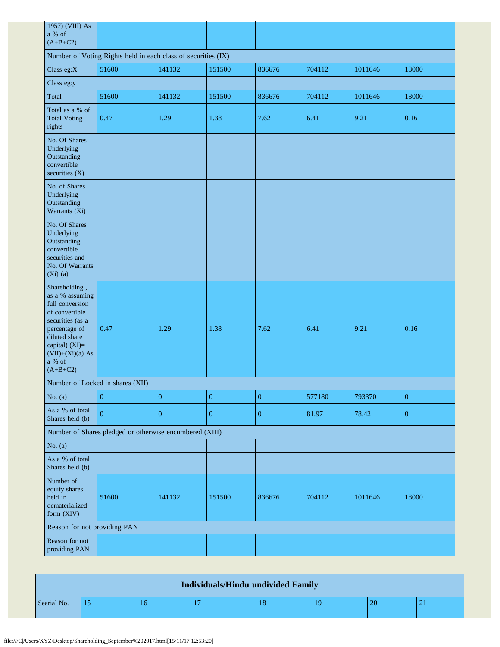| 1957) (VIII) As<br>a % of<br>$(A+B+C2)$                                                                                                                                                     |                                                         |                  |                  |                  |        |         |                  |  |
|---------------------------------------------------------------------------------------------------------------------------------------------------------------------------------------------|---------------------------------------------------------|------------------|------------------|------------------|--------|---------|------------------|--|
| Number of Voting Rights held in each class of securities (IX)                                                                                                                               |                                                         |                  |                  |                  |        |         |                  |  |
| Class eg:X                                                                                                                                                                                  | 51600                                                   | 141132           | 151500           | 836676           | 704112 | 1011646 | 18000            |  |
| Class eg:y                                                                                                                                                                                  |                                                         |                  |                  |                  |        |         |                  |  |
| Total                                                                                                                                                                                       | 51600                                                   | 141132           | 151500           | 836676           | 704112 | 1011646 | 18000            |  |
| Total as a % of<br><b>Total Voting</b><br>rights                                                                                                                                            | 0.47                                                    | 1.29             | 1.38             | 7.62             | 6.41   | 9.21    | 0.16             |  |
| No. Of Shares<br>Underlying<br>Outstanding<br>convertible<br>securities $(X)$                                                                                                               |                                                         |                  |                  |                  |        |         |                  |  |
| No. of Shares<br>Underlying<br>Outstanding<br>Warrants (Xi)                                                                                                                                 |                                                         |                  |                  |                  |        |         |                  |  |
| No. Of Shares<br>Underlying<br>Outstanding<br>convertible<br>securities and<br>No. Of Warrants<br>$(Xi)$ (a)                                                                                |                                                         |                  |                  |                  |        |         |                  |  |
| Shareholding,<br>as a % assuming<br>full conversion<br>of convertible<br>securities (as a<br>percentage of<br>diluted share<br>capital) (XI)=<br>$(VII)+(Xi)(a) As$<br>a % of<br>$(A+B+C2)$ | 0.47                                                    | 1.29             | 1.38             | 7.62             | 6.41   | 9.21    | 0.16             |  |
|                                                                                                                                                                                             | Number of Locked in shares (XII)                        |                  |                  |                  |        |         |                  |  |
| No. $(a)$                                                                                                                                                                                   | $\boldsymbol{0}$                                        | $\boldsymbol{0}$ | $\boldsymbol{0}$ | $\boldsymbol{0}$ | 577180 | 793370  | $\boldsymbol{0}$ |  |
| As a % of total<br>Shares held (b)                                                                                                                                                          | $\mathbf{0}$                                            | $\boldsymbol{0}$ | $\mathbf{0}$     | $\boldsymbol{0}$ | 81.97  | 78.42   | $\boldsymbol{0}$ |  |
|                                                                                                                                                                                             | Number of Shares pledged or otherwise encumbered (XIII) |                  |                  |                  |        |         |                  |  |
| No. $(a)$                                                                                                                                                                                   |                                                         |                  |                  |                  |        |         |                  |  |
| As a % of total<br>Shares held (b)                                                                                                                                                          |                                                         |                  |                  |                  |        |         |                  |  |
| Number of<br>equity shares<br>held in<br>dematerialized<br>form (XIV)                                                                                                                       | 51600                                                   | 141132           | 151500           | 836676           | 704112 | 1011646 | 18000            |  |
| Reason for not providing PAN                                                                                                                                                                |                                                         |                  |                  |                  |        |         |                  |  |
| Reason for not<br>providing PAN                                                                                                                                                             |                                                         |                  |                  |                  |        |         |                  |  |

| <b>Individuals/Hindu undivided Family</b> |  |    |  |  |    |  |  |
|-------------------------------------------|--|----|--|--|----|--|--|
| Searial No.                               |  | 16 |  |  | 10 |  |  |
|                                           |  |    |  |  |    |  |  |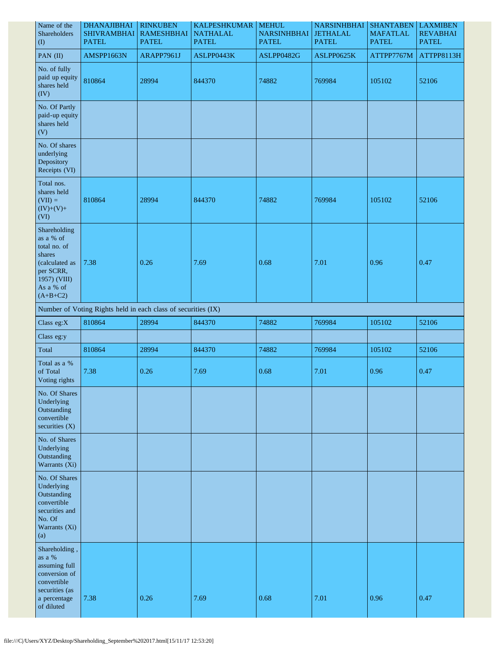| Name of the<br>Shareholders<br>$($ $\Gamma$                                                                   | <b>DHANAJIBHAI</b><br><b>SHIVRAMBHAI</b><br><b>PATEL</b>      | <b>RINKUBEN</b><br><b>RAMESHBHAI</b><br><b>PATEL</b> | <b>KALPESHKUMAR</b><br><b>NATHALAL</b><br><b>PATEL</b> | <b>MEHUL</b><br><b>NARSINHBHAI</b><br><b>PATEL</b> | <b>NARSINHBHAI</b><br><b>JETHALAL</b><br><b>PATEL</b> | <b>SHANTABEN</b><br><b>MAFATLAL</b><br><b>PATEL</b> | <b>LAXMIBEN</b><br><b>REVABHAI</b><br><b>PATEL</b> |
|---------------------------------------------------------------------------------------------------------------|---------------------------------------------------------------|------------------------------------------------------|--------------------------------------------------------|----------------------------------------------------|-------------------------------------------------------|-----------------------------------------------------|----------------------------------------------------|
| PAN (II)                                                                                                      | AMSPP1663N                                                    | ARAPP7961J                                           | ASLPP0443K                                             | ASLPP0482G                                         | ASLPP0625K                                            | ATTPP7767M                                          | ATTPP8113H                                         |
| No. of fully<br>paid up equity<br>shares held<br>(IV)                                                         | 810864                                                        | 28994                                                | 844370                                                 | 74882                                              | 769984                                                | 105102                                              | 52106                                              |
| No. Of Partly<br>paid-up equity<br>shares held<br>(V)                                                         |                                                               |                                                      |                                                        |                                                    |                                                       |                                                     |                                                    |
| No. Of shares<br>underlying<br>Depository<br>Receipts (VI)                                                    |                                                               |                                                      |                                                        |                                                    |                                                       |                                                     |                                                    |
| Total nos.<br>shares held<br>$(VII) =$<br>$(IV)+(V)+$<br>(VI)                                                 | 810864                                                        | 28994                                                | 844370                                                 | 74882                                              | 769984                                                | 105102                                              | 52106                                              |
| Shareholding<br>as a % of<br>total no. of<br>shares<br>(calculated as<br>per SCRR,<br>1957) (VIII)            | 7.38                                                          | 0.26                                                 | 7.69                                                   | 0.68                                               | 7.01                                                  | 0.96                                                | 0.47                                               |
| As a % of<br>$(A+B+C2)$                                                                                       |                                                               |                                                      |                                                        |                                                    |                                                       |                                                     |                                                    |
|                                                                                                               | Number of Voting Rights held in each class of securities (IX) |                                                      |                                                        |                                                    |                                                       |                                                     |                                                    |
| Class eg: $X$                                                                                                 | 810864                                                        | 28994                                                | 844370                                                 | 74882                                              | 769984                                                | 105102                                              | 52106                                              |
| Class eg:y                                                                                                    |                                                               |                                                      |                                                        |                                                    |                                                       |                                                     |                                                    |
| Total                                                                                                         | 810864                                                        | 28994                                                | 844370                                                 | 74882                                              | 769984                                                | 105102                                              | 52106                                              |
| Total as a %<br>of Total<br>Voting rights                                                                     | 7.38                                                          | 0.26                                                 | 7.69                                                   | 0.68                                               | 7.01                                                  | 0.96                                                | 0.47                                               |
| No. Of Shares<br>Underlying<br>Outstanding<br>convertible<br>securities $(X)$                                 |                                                               |                                                      |                                                        |                                                    |                                                       |                                                     |                                                    |
| No. of Shares<br>Underlying<br>Outstanding<br>Warrants (Xi)                                                   |                                                               |                                                      |                                                        |                                                    |                                                       |                                                     |                                                    |
| No. Of Shares<br>Underlying<br>Outstanding<br>convertible<br>securities and<br>No. Of<br>Warrants (Xi)<br>(a) |                                                               |                                                      |                                                        |                                                    |                                                       |                                                     |                                                    |
| Shareholding,<br>as a %<br>assuming full<br>conversion of<br>convertible<br>securities (as<br>a percentage    | 7.38                                                          | 0.26                                                 | 7.69                                                   | 0.68                                               | 7.01                                                  | 0.96                                                | 0.47                                               |
| of diluted                                                                                                    |                                                               |                                                      |                                                        |                                                    |                                                       |                                                     |                                                    |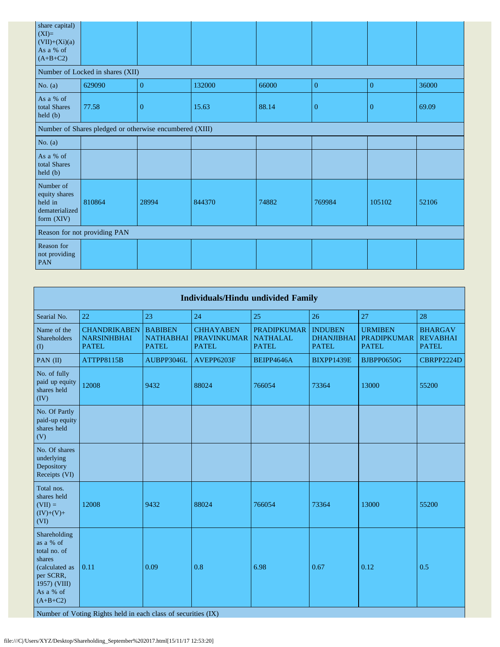| share capital)<br>$(XI)=$<br>$(VII)+(Xi)(a)$<br>As a % of<br>$(A+B+C2)$ |                                                         |              |        |       |                |                |       |
|-------------------------------------------------------------------------|---------------------------------------------------------|--------------|--------|-------|----------------|----------------|-------|
|                                                                         | Number of Locked in shares (XII)                        |              |        |       |                |                |       |
| No. $(a)$                                                               | 629090                                                  | $\mathbf{0}$ | 132000 | 66000 | $\mathbf{0}$   | $\mathbf{0}$   | 36000 |
| As a % of<br>total Shares<br>held (b)                                   | 77.58                                                   | $\mathbf{0}$ | 15.63  | 88.14 | $\overline{0}$ | $\overline{0}$ | 69.09 |
|                                                                         | Number of Shares pledged or otherwise encumbered (XIII) |              |        |       |                |                |       |
| No. $(a)$                                                               |                                                         |              |        |       |                |                |       |
| As a % of<br>total Shares<br>held (b)                                   |                                                         |              |        |       |                |                |       |
| Number of<br>equity shares<br>held in<br>dematerialized<br>form (XIV)   | 810864                                                  | 28994        | 844370 | 74882 | 769984         | 105102         | 52106 |
|                                                                         | Reason for not providing PAN                            |              |        |       |                |                |       |
| Reason for<br>not providing<br><b>PAN</b>                               |                                                         |              |        |       |                |                |       |

| <b>Individuals/Hindu undivided Family</b>                                                                                     |                                                               |                                                    |                                                        |                                                       |                                                     |                                                      |                                                   |  |  |
|-------------------------------------------------------------------------------------------------------------------------------|---------------------------------------------------------------|----------------------------------------------------|--------------------------------------------------------|-------------------------------------------------------|-----------------------------------------------------|------------------------------------------------------|---------------------------------------------------|--|--|
| Searial No.                                                                                                                   | 22                                                            | 23                                                 | 24                                                     | 25                                                    | 26                                                  | 27                                                   | 28                                                |  |  |
| Name of the<br><b>Shareholders</b><br>(1)                                                                                     | <b>CHANDRIKABEN</b><br><b>NARSINHBHAI</b><br><b>PATEL</b>     | <b>BABIBEN</b><br><b>NATHABHAI</b><br><b>PATEL</b> | <b>CHHAYABEN</b><br><b>PRAVINKUMAR</b><br><b>PATEL</b> | <b>PRADIPKUMAR</b><br><b>NATHALAL</b><br><b>PATEL</b> | <b>INDUBEN</b><br><b>DHANJIBHAI</b><br><b>PATEL</b> | <b>URMIBEN</b><br><b>PRADIPKUMAR</b><br><b>PATEL</b> | <b>BHARGAV</b><br><b>REVABHAI</b><br><b>PATEL</b> |  |  |
| PAN (II)                                                                                                                      | ATTPP8115B                                                    | AUBPP3046L                                         | AVEPP6203F                                             | BEIPP4646A                                            | BIXPP1439E                                          | <b>BJBPP0650G</b>                                    | CBRPP2224D                                        |  |  |
| No. of fully<br>paid up equity<br>shares held<br>(IV)                                                                         | 12008                                                         | 9432                                               | 88024                                                  | 766054                                                | 73364                                               | 13000                                                | 55200                                             |  |  |
| No. Of Partly<br>paid-up equity<br>shares held<br>(V)                                                                         |                                                               |                                                    |                                                        |                                                       |                                                     |                                                      |                                                   |  |  |
| No. Of shares<br>underlying<br>Depository<br>Receipts (VI)                                                                    |                                                               |                                                    |                                                        |                                                       |                                                     |                                                      |                                                   |  |  |
| Total nos.<br>shares held<br>$(VII) =$<br>$(IV)+(V)+$<br>(VI)                                                                 | 12008                                                         | 9432                                               | 88024                                                  | 766054                                                | 73364                                               | 13000                                                | 55200                                             |  |  |
| Shareholding<br>as a % of<br>total no. of<br>shares<br>(calculated as<br>per SCRR,<br>1957) (VIII)<br>As a % of<br>$(A+B+C2)$ | 0.11                                                          | 0.09                                               | 0.8                                                    | 6.98                                                  | 0.67                                                | 0.12                                                 | 0.5                                               |  |  |
|                                                                                                                               | Number of Voting Rights held in each class of securities (IX) |                                                    |                                                        |                                                       |                                                     |                                                      |                                                   |  |  |

file:///C|/Users/XYZ/Desktop/Shareholding\_September%202017.html[15/11/17 12:53:20]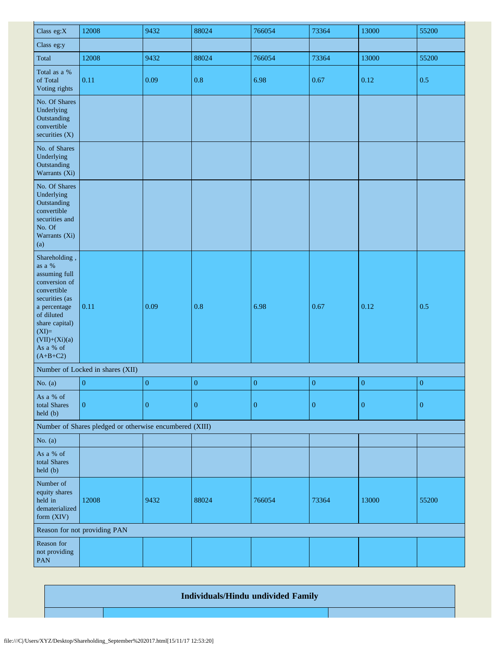| Class eg:X                                                                                                                                                                                             | 12008                                                   | 9432             | 88024            | 766054           | 73364            | 13000            | 55200            |
|--------------------------------------------------------------------------------------------------------------------------------------------------------------------------------------------------------|---------------------------------------------------------|------------------|------------------|------------------|------------------|------------------|------------------|
| Class eg:y                                                                                                                                                                                             |                                                         |                  |                  |                  |                  |                  |                  |
| Total                                                                                                                                                                                                  | 12008                                                   | 9432             | 88024            | 766054           | 73364            | 13000            | 55200            |
| Total as a %<br>of Total<br>Voting rights                                                                                                                                                              | 0.11                                                    | 0.09             | 0.8              | 6.98             | $0.67\,$         | 0.12             | 0.5              |
| No. Of Shares<br>Underlying<br>Outstanding<br>convertible<br>securities $(X)$                                                                                                                          |                                                         |                  |                  |                  |                  |                  |                  |
| No. of Shares<br>Underlying<br>Outstanding<br>Warrants (Xi)                                                                                                                                            |                                                         |                  |                  |                  |                  |                  |                  |
| No. Of Shares<br>Underlying<br>Outstanding<br>convertible<br>securities and<br>No. Of<br>Warrants (Xi)<br>(a)                                                                                          |                                                         |                  |                  |                  |                  |                  |                  |
| Shareholding,<br>as a $\%$<br>assuming full<br>conversion of<br>convertible<br>securities (as<br>a percentage<br>of diluted<br>share capital)<br>$(XI)=$<br>$(VII)+(Xi)(a)$<br>As a % of<br>$(A+B+C2)$ | 0.11                                                    | 0.09             | 0.8              | 6.98             | 0.67             | 0.12             | 0.5              |
|                                                                                                                                                                                                        | Number of Locked in shares (XII)                        |                  |                  |                  |                  |                  |                  |
| No. $(a)$                                                                                                                                                                                              | $\boldsymbol{0}$                                        | $\boldsymbol{0}$ | $\boldsymbol{0}$ | ${\bf 0}$        | $\boldsymbol{0}$ | $\boldsymbol{0}$ | $\boldsymbol{0}$ |
| As a % of<br>total Shares<br>held (b)                                                                                                                                                                  | $\boldsymbol{0}$                                        | $\boldsymbol{0}$ | $\boldsymbol{0}$ | $\boldsymbol{0}$ | $\boldsymbol{0}$ | $\mathbf{0}$     | $\boldsymbol{0}$ |
|                                                                                                                                                                                                        | Number of Shares pledged or otherwise encumbered (XIII) |                  |                  |                  |                  |                  |                  |
| No. $(a)$                                                                                                                                                                                              |                                                         |                  |                  |                  |                  |                  |                  |
| As a % of<br>total Shares<br>held (b)                                                                                                                                                                  |                                                         |                  |                  |                  |                  |                  |                  |
| Number of<br>equity shares<br>held in<br>dematerialized<br>form (XIV)                                                                                                                                  | 12008                                                   | 9432             | 88024            | 766054           | 73364            | 13000            | 55200            |
|                                                                                                                                                                                                        | Reason for not providing PAN                            |                  |                  |                  |                  |                  |                  |
| Reason for<br>not providing<br>PAN                                                                                                                                                                     |                                                         |                  |                  |                  |                  |                  |                  |

## **Individuals/Hindu undivided Family**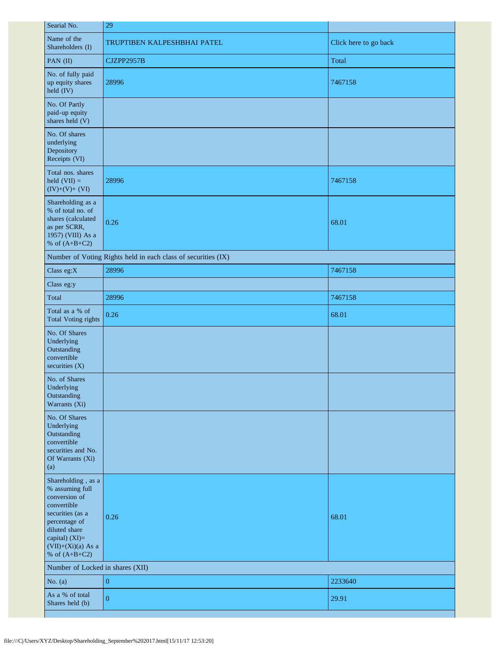| 29                                                            |                       |
|---------------------------------------------------------------|-----------------------|
| TRUPTIBEN KALPESHBHAI PATEL                                   | Click here to go back |
| CJZPP2957B                                                    | Total                 |
| 28996                                                         | 7467158               |
|                                                               |                       |
|                                                               |                       |
| 28996                                                         | 7467158               |
| 0.26                                                          | 68.01                 |
| Number of Voting Rights held in each class of securities (IX) |                       |
| 28996                                                         | 7467158               |
|                                                               |                       |
| 28996                                                         | 7467158               |
| 0.26                                                          | 68.01                 |
|                                                               |                       |
|                                                               |                       |
|                                                               |                       |
| 0.26                                                          | 68.01                 |
| Number of Locked in shares (XII)                              |                       |
| $\mathbf{0}$                                                  | 2233640               |
| $\overline{0}$                                                | 29.91                 |
|                                                               |                       |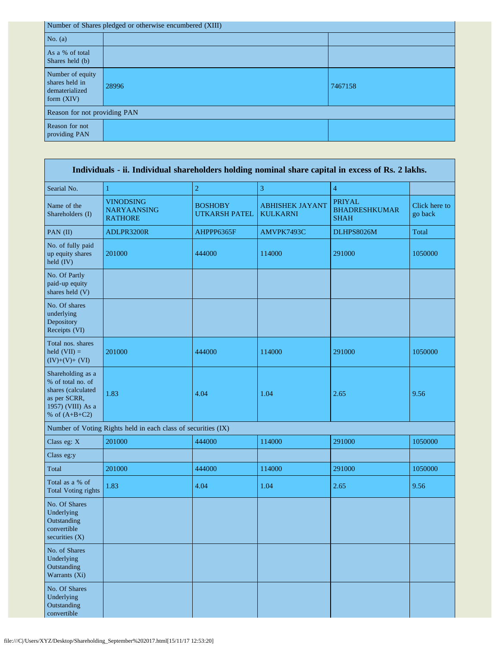| Number of Shares pledged or otherwise encumbered (XIII)              |                              |         |  |  |  |  |  |
|----------------------------------------------------------------------|------------------------------|---------|--|--|--|--|--|
| No. $(a)$                                                            |                              |         |  |  |  |  |  |
| As a % of total<br>Shares held (b)                                   |                              |         |  |  |  |  |  |
| Number of equity<br>shares held in<br>dematerialized<br>form $(XIV)$ | 28996                        | 7467158 |  |  |  |  |  |
|                                                                      | Reason for not providing PAN |         |  |  |  |  |  |
| Reason for not<br>providing PAN                                      |                              |         |  |  |  |  |  |

| Individuals - ii. Individual shareholders holding nominal share capital in excess of Rs. 2 lakhs.                    |                                                               |                                        |                                           |                                                      |                          |  |  |  |  |
|----------------------------------------------------------------------------------------------------------------------|---------------------------------------------------------------|----------------------------------------|-------------------------------------------|------------------------------------------------------|--------------------------|--|--|--|--|
| Searial No.                                                                                                          | 1                                                             | $\overline{c}$                         | 3                                         | $\overline{4}$                                       |                          |  |  |  |  |
| Name of the<br>Shareholders (I)                                                                                      | <b>VINODSING</b><br><b>NARYAANSING</b><br><b>RATHORE</b>      | <b>BOSHOBY</b><br><b>UTKARSH PATEL</b> | <b>ABHISHEK JAYANT</b><br><b>KULKARNI</b> | <b>PRIYAL</b><br><b>BHADRESHKUMAR</b><br><b>SHAH</b> | Click here to<br>go back |  |  |  |  |
| PAN (II)                                                                                                             | ADLPR3200R                                                    | AHPPP6365F                             | AMVPK7493C                                | DLHPS8026M                                           | Total                    |  |  |  |  |
| No. of fully paid<br>up equity shares<br>held (IV)                                                                   | 201000                                                        | 444000                                 | 114000                                    | 291000                                               | 1050000                  |  |  |  |  |
| No. Of Partly<br>paid-up equity<br>shares held (V)                                                                   |                                                               |                                        |                                           |                                                      |                          |  |  |  |  |
| No. Of shares<br>underlying<br>Depository<br>Receipts (VI)                                                           |                                                               |                                        |                                           |                                                      |                          |  |  |  |  |
| Total nos. shares<br>held $(VII) =$<br>$(IV)+(V)+(VI)$                                                               | 201000                                                        | 444000                                 | 114000                                    | 291000                                               | 1050000                  |  |  |  |  |
| Shareholding as a<br>% of total no. of<br>shares (calculated<br>as per SCRR,<br>1957) (VIII) As a<br>% of $(A+B+C2)$ | 1.83                                                          | 4.04                                   | 1.04                                      | 2.65                                                 | 9.56                     |  |  |  |  |
|                                                                                                                      | Number of Voting Rights held in each class of securities (IX) |                                        |                                           |                                                      |                          |  |  |  |  |
| Class eg: X                                                                                                          | 201000                                                        | 444000                                 | 114000                                    | 291000                                               | 1050000                  |  |  |  |  |
| Class eg:y                                                                                                           |                                                               |                                        |                                           |                                                      |                          |  |  |  |  |
| Total                                                                                                                | 201000                                                        | 444000                                 | 114000                                    | 291000                                               | 1050000                  |  |  |  |  |
| Total as a % of<br><b>Total Voting rights</b>                                                                        | 1.83                                                          | 4.04                                   | 1.04                                      | 2.65                                                 | 9.56                     |  |  |  |  |
| No. Of Shares<br>Underlying<br>Outstanding<br>convertible<br>securities $(X)$                                        |                                                               |                                        |                                           |                                                      |                          |  |  |  |  |
| No. of Shares<br>Underlying<br>Outstanding<br>Warrants (Xi)                                                          |                                                               |                                        |                                           |                                                      |                          |  |  |  |  |
| No. Of Shares<br>Underlying<br>Outstanding<br>convertible                                                            |                                                               |                                        |                                           |                                                      |                          |  |  |  |  |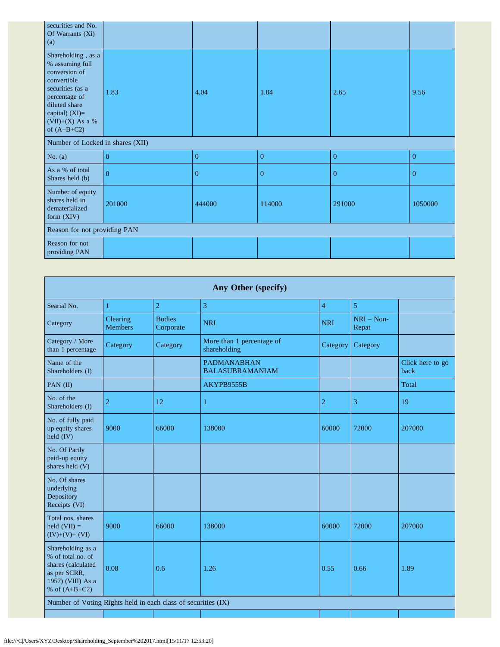| securities and No.<br>Of Warrants (Xi)<br>(a)                                                                                                                                        |                |                |              |                |                |
|--------------------------------------------------------------------------------------------------------------------------------------------------------------------------------------|----------------|----------------|--------------|----------------|----------------|
| Shareholding, as a<br>% assuming full<br>conversion of<br>convertible<br>securities (as a<br>percentage of<br>diluted share<br>capital) $(XI)=$<br>(VII)+(X) As a %<br>of $(A+B+C2)$ | 1.83           | 4.04           | 1.04         | 2.65           | 9.56           |
| Number of Locked in shares (XII)                                                                                                                                                     |                |                |              |                |                |
| No. $(a)$                                                                                                                                                                            | $\overline{0}$ | $\overline{0}$ | $\theta$     | $\overline{0}$ | $\overline{0}$ |
| As a % of total<br>Shares held (b)                                                                                                                                                   | $\overline{0}$ | $\mathbf{0}$   | $\mathbf{0}$ | 0              | $\overline{0}$ |
| Number of equity<br>shares held in<br>dematerialized<br>form (XIV)                                                                                                                   | 201000         | 444000         | 114000       | 291000         | 1050000        |
| Reason for not providing PAN                                                                                                                                                         |                |                |              |                |                |
| Reason for not<br>providing PAN                                                                                                                                                      |                |                |              |                |                |

|                                                                                                                      | Any Other (specify)        |                            |                                              |                |                       |                          |  |  |  |
|----------------------------------------------------------------------------------------------------------------------|----------------------------|----------------------------|----------------------------------------------|----------------|-----------------------|--------------------------|--|--|--|
| Searial No.                                                                                                          | 1                          | $\overline{2}$             | 3                                            | $\overline{4}$ | 5                     |                          |  |  |  |
| Category                                                                                                             | Clearing<br><b>Members</b> | <b>Bodies</b><br>Corporate | <b>NRI</b>                                   | <b>NRI</b>     | $NRI - Non-$<br>Repat |                          |  |  |  |
| Category / More<br>than 1 percentage                                                                                 | Category                   | Category                   | More than 1 percentage of<br>shareholding    | Category       | Category              |                          |  |  |  |
| Name of the<br>Shareholders (I)                                                                                      |                            |                            | <b>PADMANABHAN</b><br><b>BALASUBRAMANIAM</b> |                |                       | Click here to go<br>back |  |  |  |
| PAN (II)                                                                                                             |                            |                            | AKYPB9555B                                   |                |                       | Total                    |  |  |  |
| No. of the<br>Shareholders (I)                                                                                       | $\overline{2}$             | 12                         | $\mathbf{1}$                                 | $\overline{c}$ | 3                     | 19                       |  |  |  |
| No. of fully paid<br>up equity shares<br>held (IV)                                                                   | 9000                       | 66000                      | 138000                                       | 60000          | 72000                 | 207000                   |  |  |  |
| No. Of Partly<br>paid-up equity<br>shares held (V)                                                                   |                            |                            |                                              |                |                       |                          |  |  |  |
| No. Of shares<br>underlying<br>Depository<br>Receipts (VI)                                                           |                            |                            |                                              |                |                       |                          |  |  |  |
| Total nos. shares<br>held $(VII) =$<br>$(IV)+(V)+(VI)$                                                               | 9000                       | 66000                      | 138000                                       | 60000          | 72000                 | 207000                   |  |  |  |
| Shareholding as a<br>% of total no. of<br>shares (calculated<br>as per SCRR,<br>1957) (VIII) As a<br>% of $(A+B+C2)$ | 0.08                       | 0.6                        | 1.26                                         | 0.55           | 0.66                  | 1.89                     |  |  |  |
| Number of Voting Rights held in each class of securities (IX)                                                        |                            |                            |                                              |                |                       |                          |  |  |  |
|                                                                                                                      |                            |                            |                                              |                |                       |                          |  |  |  |